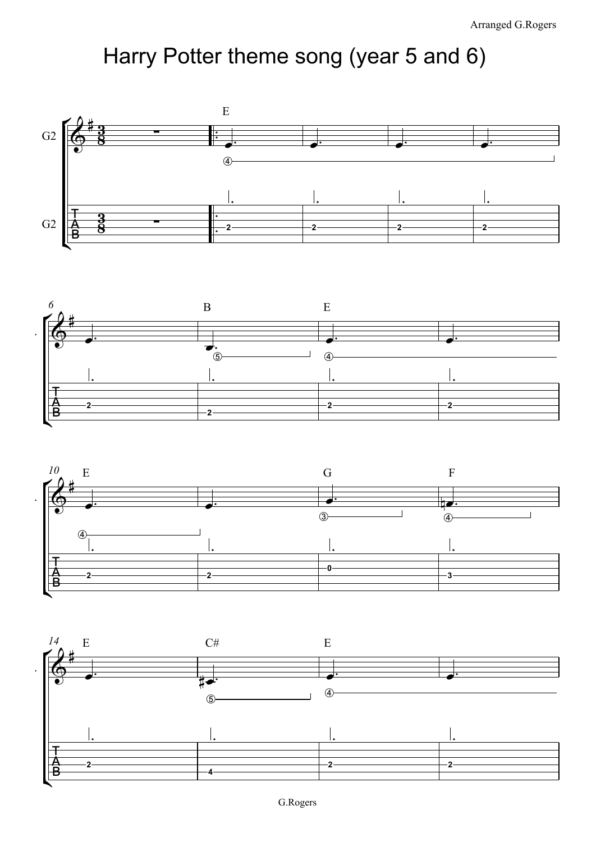## Harry Potter theme song (year 5 and 6)